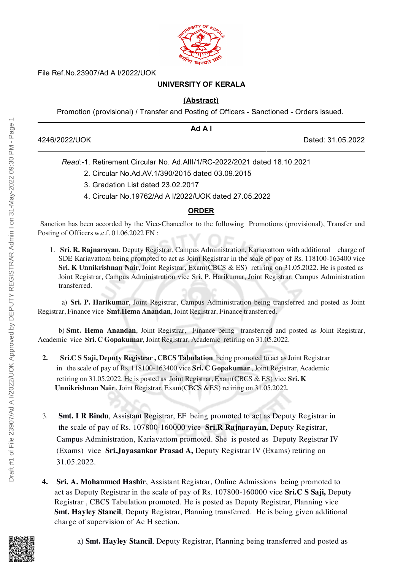

File Ref.No.23907/Ad A I/2022/UOK

# **UNIVERSITY OF KERALA**

### **(Abstract)**

Promotion (provisional) / Transfer and Posting of Officers - Sanctioned - Orders issued.

|               | Ad A I |                   |
|---------------|--------|-------------------|
| 4246/2022/UOK |        | Dated: 31.05.2022 |

*Read:-*1. Retirement Circular No. Ad.AIII/1/RC-2022/2021 dated 18.10.2021

- 2. Circular No.Ad.AV.1/390/2015 dated 03.09.2015
- 3. Gradation List dated 23.02.2017
- 4. Circular No.19762/Ad A I/2022/UOK dated 27.05.2022

### **ORDER**

Sanction has been accorded by the Vice-Chancellor to the following Promotions (provisional), Transfer and Posting of Officers w.e.f. 01.06.2022 FN :

1. **Sri. R. Rajnarayan**, Deputy Registrar, Campus Administration, Kariavattom with additional charge of SDE Kariavattom being promoted to act as Joint Registrar in the scale of pay of Rs. 118100-163400 vice Sri. K Unnikrishnan Nair, Joint Registrar, Exam (CBCS & ES) retiring on 31.05.2022. He is posted as Joint Registrar, Campus Administration vice Sri. P. Harikumar, Joint Registrar, Campus Administration transferred.

a) Sri. P. Harikumar, Joint Registrar, Campus Administration being transferred and posted as Joint Registrar, Finance vice Smt.Hema Anandan, Joint Registrar, Finance transferred.

b) Smt. Hema Anandan, Joint Registrar, Finance being transferred and posted as Joint Registrar, Academic vice Sri. C Gopakumar, Joint Registrar, Academic retiring on 31.05.2022.

- 2. Sri.C S Saji, Deputy Registrar, CBCS Tabulation being promoted to act as Joint Registrar in the scale of pay of Rs. 118100-163400 vice Sri. C Gopakumar ,Joint Registrar, Academic retiring on 31.05.2022. He is posted as Joint Registrar, Exam(CBCS & ES) vice Sri. K Unnikrishnan Nair ,Joint Registrar, Exam(CBCS &ES) retiring on 31.05.2022.
- 3. Smt. I R Bindu, Assistant Registrar, EF being promoted to act as Deputy Registrar in the scale of pay of Rs. 107800-160000 vice Sri.R Rajnarayan, Deputy Registrar, Campus Administration, Kariavattom promoted. She is posted as Deputy Registrar IV (Exams) vice Sri.Jayasankar Prasad A, Deputy Registrar IV (Exams) retiring on 31.05.2022.
- 4. Sri. A. Mohammed Hashir, Assistant Registrar, Online Admissions being promoted to act as Deputy Registrar in the scale of pay of Rs. 107800-160000 vice Sri.C S Saji, Deputy Registrar , CBCS Tabulation promoted. He is posted as Deputy Registrar, Planning vice Smt. Hayley Stancil, Deputy Registrar, Planning transferred. He is being given additional charge of supervision of Ac H section.



a) Smt. Hayley Stancil, Deputy Registrar, Planning being transferred and posted as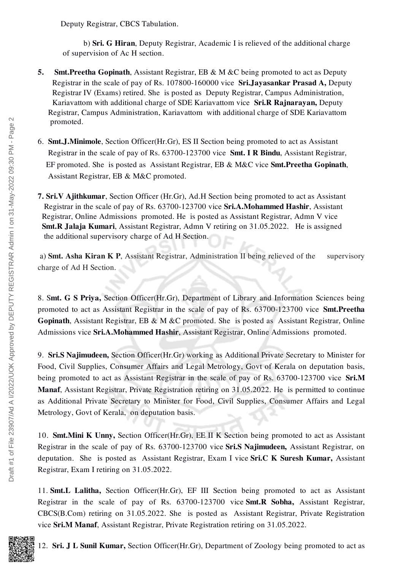Deputy Registrar, CBCS Tabulation.

b) Sri. G Hiran, Deputy Registrar, Academic I is relieved of the additional charge of supervision of Ac H section.

- 5. Smt.Preetha Gopinath, Assistant Registrar, EB & M &C being promoted to act as Deputy Registrar in the scale of pay of Rs. 107800-160000 vice Sri.Jayasankar Prasad A, Deputy Registrar IV (Exams) retired. She is posted as Deputy Registrar, Campus Administration, Kariavattom with additional charge of SDE Kariavattom vice **Sri.R Rajnarayan**, Deputy Registrar, Campus Administration, Kariavattom with additional charge of SDE Kariavattom promoted.
- 6. Smt.J.Minimole, Section Officer(Hr.Gr), ES II Section being promoted to act as Assistant Registrar in the scale of pay of Rs. 63700-123700 vice Smt. I R Bindu, Assistant Registrar, EF promoted. She is posted as Assistant Registrar, EB & M&C vice Smt.Preetha Gopinath, Assistant Registrar, EB & M&C promoted.

7. Sri.V Ajithkumar, Section Officer (Hr.Gr), Ad.H Section being promoted to act as Assistant Registrar in the scale of pay of Rs. 63700-123700 vice Sri.A.Mohammed Hashir, Assistant Registrar, Online Admissions promoted. He is posted as Assistant Registrar, Admn V vice Smt.R Jalaja Kumari, Assistant Registrar, Admn V retiring on 31.05.2022. He is assigned the additional supervisory charge of Ad H Section.

a) Smt. Asha Kiran K P, Assistant Registrar, Administration II being relieved of the supervisory charge of Ad H Section.

8. Smt. G S Priya, Section Officer(Hr.Gr), Department of Library and Information Sciences being promoted to act as Assistant Registrar in the scale of pay of Rs. 63700-123700 vice Smt.Preetha Gopinath, Assistant Registrar, EB & M &C promoted. She is posted as Assistant Registrar, Online Admissions vice Sri.A.Mohammed Hashir, Assistant Registrar, Online Admissions promoted.

9. Sri.S Najimudeen, Section Officer(Hr.Gr) working as Additional Private Secretary to Minister for Food, Civil Supplies, Consumer Affairs and Legal Metrology, Govt of Kerala on deputation basis, being promoted to act as Assistant Registrar in the scale of pay of Rs. 63700-123700 vice Sri.M Manaf, Assistant Registrar, Private Registration retiring on 31.05.2022. He is permitted to continue as Additional Private Secretary to Minister for Food, Civil Supplies, Consumer Affairs and Legal Metrology, Govt of Kerala, on deputation basis.

10. Smt.Mini K Unny, Section Officer(Hr.Gr), EE II K Section being promoted to act as Assistant Registrar in the scale of pay of Rs. 63700-123700 vice Sri.S Najimudeen, Assistant Registrar, on deputation. She is posted as Assistant Registrar, Exam I vice Sri.C K Suresh Kumar, Assistant Registrar, Exam I retiring on 31.05.2022.

11. Smt.L Lalitha, Section Officer(Hr.Gr), EF III Section being promoted to act as Assistant Registrar in the scale of pay of Rs. 63700-123700 vice Smt.R Sobha, Assistant Registrar, CBCS(B.Com) retiring on 31.05.2022. She is posted as Assistant Registrar, Private Registration vice Sri.M Manaf, Assistant Registrar, Private Registration retiring on 31.05.2022.

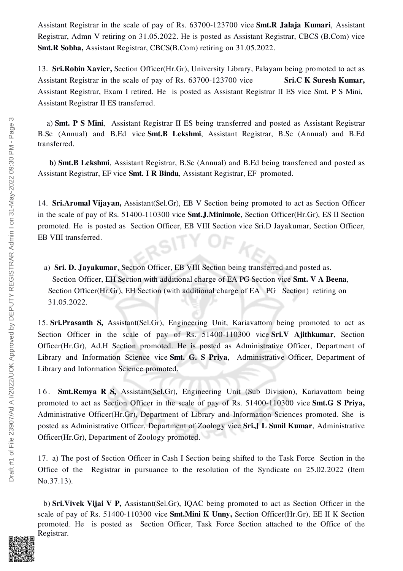Assistant Registrar in the scale of pay of Rs. 63700-123700 vice Smt.R Jalaja Kumari, Assistant Registrar, Admn V retiring on 31.05.2022. He is posted as Assistant Registrar, CBCS (B.Com) vice Smt.R Sobha, Assistant Registrar, CBCS(B.Com) retiring on 31.05.2022.

13. Sri.Robin Xavier, Section Officer(Hr.Gr), University Library, Palayam being promoted to act as Assistant Registrar in the scale of pay of Rs.  $63700-123700$  vice Sri.C K Suresh Kumar, Assistant Registrar, Exam I retired. He is posted as Assistant Registrar II ES vice Smt. P S Mini, Assistant Registrar II ES transferred.

a) Smt. P S Mini, Assistant Registrar II ES being transferred and posted as Assistant Registrar B.Sc (Annual) and B.Ed vice Smt.B Lekshmi, Assistant Registrar, B.Sc (Annual) and B.Ed transferred.

b) Smt.B Lekshmi, Assistant Registrar, B.Sc (Annual) and B.Ed being transferred and posted as Assistant Registrar, EF vice Smt. I R Bindu, Assistant Registrar, EF promoted.

14. Sri.Aromal Vijayan, Assistant(Sel.Gr), EB V Section being promoted to act as Section Officer in the scale of pay of Rs. 51400-110300 vice Smt.J.Minimole, Section Officer(Hr.Gr), ES II Section promoted. He is posted as Section Officer, EB VIII Section vice Sri.D Jayakumar, Section Officer, EB VIII transferred.

a) Sri. D. Jayakumar, Section Officer, EB VIII Section being transferred and posted as. Section Officer, EH Section with additional charge of EA PG Section vice Smt. V A Beena, Section Officer(Hr.Gr), EH Section (with additional charge of EA PG Section) retiring on 31.05.2022.

15. Sri.Prasanth S, Assistant(Sel.Gr), Engineering Unit, Kariavattom being promoted to act as Section Officer in the scale of pay of Rs. 51400-110300 vice Sri.V Ajithkumar, Section Officer(Hr.Gr), Ad.H Section promoted. He is posted as Administrative Officer, Department of Library and Information Science vice Smt. G. S Priya, Administrative Officer, Department of Library and Information Science promoted.

16. **Smt.Remya R S,** Assistant(Sel.Gr), Engineering Unit (Sub Division), Kariavattom being promoted to act as Section Officer in the scale of pay of Rs. 51400-110300 vice Smt.G S Priya, Administrative Officer(Hr.Gr), Department of Library and Information Sciences promoted. She is posted as Administrative Officer, Department of Zoology vice Sri.J L Sunil Kumar, Administrative Officer(Hr.Gr), Department of Zoology promoted.

17. a) The post of Section Officer in Cash I Section being shifted to the Task Force Section in the Office of the Registrar in pursuance to the resolution of the Syndicate on 25.02.2022 (Item No.37.13).

b) Sri.Vivek Vijai V P, Assistant(Sel.Gr), IQAC being promoted to act as Section Officer in the scale of pay of Rs. 51400-110300 vice **Smt.Mini K Unny, Section Officer(Hr.Gr)**, EE II K Section promoted. He is posted as Section Officer, Task Force Section attached to the Office of the Registrar.

S

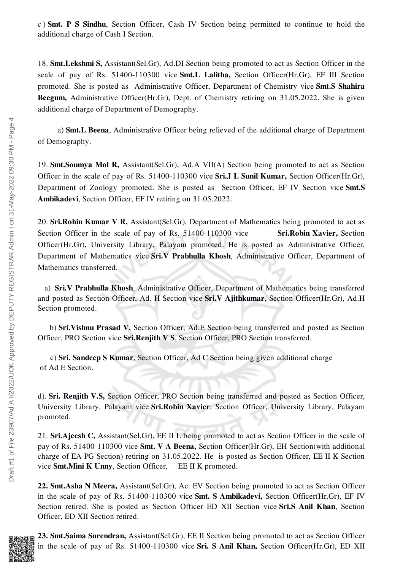c ) Smt. P S Sindhu, Section Officer, Cash IV Section being permitted to continue to hold the additional charge of Cash I Section.

18. Smt.Lekshmi S, Assistant(Sel.Gr), Ad.DI Section being promoted to act as Section Officer in the scale of pay of Rs. 51400-110300 vice Smt.L Lalitha, Section Officer(Hr.Gr), EF III Section promoted. She is posted as Administrative Officer, Department of Chemistry vice Smt.S Shahira Beegum, Administrative Officer(Hr.Gr), Dept. of Chemistry retiring on 31.05.2022. She is given additional charge of Department of Demography.

a) Smt.L Beena, Administrative Officer being relieved of the additional charge of Department of Demography.

19. Smt.Soumya Mol R, Assistant(Sel.Gr), Ad.A VII(A) Section being promoted to act as Section Officer in the scale of pay of Rs. 51400-110300 vice Sri.J L Sunil Kumar, Section Officer(Hr.Gr), Department of Zoology promoted. She is posted as Section Officer, EF IV Section vice Smt.S Ambikadevi, Section Officer, EF IV retiring on 31.05.2022.

20. Sri.Rohin Kumar V R, Assistant(Sel.Gr), Department of Mathematics being promoted to act as Section Officer in the scale of pay of Rs. 51400-110300 vice Sri.Robin Xavier, Section Officer(Hr.Gr), University Library, Palayam promoted. He is posted as Administrative Officer, Department of Mathematics vice Sri.V Prabhulla Khosh, Administrative Officer, Department of Mathematics transferred.

a) Sri.V Prabhulla Khosh, Administrative Officer, Department of Mathematics being transferred and posted as Section Officer, Ad. H Section vice Sri.V Ajithkumar, Section Officer(Hr.Gr), Ad.H Section promoted.

b) Sri.Vishnu Prasad V, Section Officer, Ad.E Section being transferred and posted as Section Officer, PRO Section vice Sri.Renjith V S, Section Officer, PRO Section transferred.

c) Sri. Sandeep S Kumar, Section Officer, Ad C Section being given additional charge of Ad E Section.

d). Sri. Renjith V.S, Section Officer, PRO Section being transferred and posted as Section Officer, University Library, Palayam vice Sri.Robin Xavier, Section Officer, University Library, Palayam promoted.

21. Sri.Ajeesh C, Assistant(Sel.Gr), EE II L being promoted to act as Section Officer in the scale of pay of Rs. 51400-110300 vice Smt. V A Beena, Section Officer(Hr.Gr), EH Section(with additional charge of EA PG Section) retiring on 31.05.2022. He is posted as Section Officer, EE II K Section vice Smt.Mini K Unny, Section Officer, EE II K promoted.

22. Smt.Asha N Meera, Assistant(Sel.Gr), Ac. EV Section being promoted to act as Section Officer in the scale of pay of Rs. 51400-110300 vice Smt. S Ambikadevi, Section Officer(Hr.Gr), EF IV Section retired. She is posted as Section Officer ED XII Section vice Sri.S Anil Khan, Section Officer, ED XII Section retired.



23. Smt.Saima Surendran, Assistant(Sel.Gr), EE II Section being promoted to act as Section Officer in the scale of pay of Rs. 51400-110300 vice Sri. S Anil Khan, Section Officer(Hr.Gr), ED XII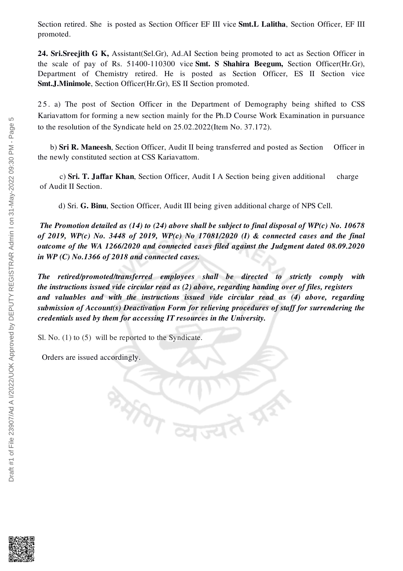Section retired. She is posted as Section Officer EF III vice Smt.L Lalitha, Section Officer, EF III promoted.

24. Sri.Sreejith G K, Assistant(Sel.Gr), Ad.AI Section being promoted to act as Section Officer in the scale of pay of Rs. 51400-110300 vice Smt. S Shahira Beegum, Section Officer(Hr.Gr), Department of Chemistry retired. He is posted as Section Officer, ES II Section vice Smt.J.Minimole, Section Officer(Hr.Gr), ES II Section promoted.

2 5 . a) The post of Section Officer in the Department of Demography being shifted to CSS Kariavattom for forming a new section mainly for the Ph.D Course Work Examination in pursuance to the resolution of the Syndicate held on 25.02.2022(Item No. 37.172).

b) Sri R. Maneesh, Section Officer, Audit II being transferred and posted as Section Officer in the newly constituted section at CSS Kariavattom.

c) Sri. T. Jaffar Khan, Section Officer, Audit I A Section being given additional charge of Audit II Section.

d) Sri. G. Binu, Section Officer, Audit III being given additional charge of NPS Cell.

*The Promotion detailed as (14) to (24) above shall be subject to final disposal of WP(c) No. 10678 of 2019, WP(c) No. 3448 of 2019, WP(c) No 17081/2020 (I) & connected cases and the final outcome of the WA 1266/2020 and connected cases filed against the Judgment dated 08.09.2020 in WP (C) No.1366 of 2018 and connected cases.*

*The retired/promoted/transferred employees shall be directed to strictly comply with the instructions issued vide circular read as (2) above, regarding handing over of files, registers and valuables and with the instructions issued vide circular read as (4) above, regarding submission of Account(s) Deactivation Form for relieving procedures of staff for surrendering the credentials used by them for accessing IT resources in the University.*

Sl. No. (1) to (5) will be reported to the Syndicate.

**RASE** 

Orders are issued accordingly.

LO